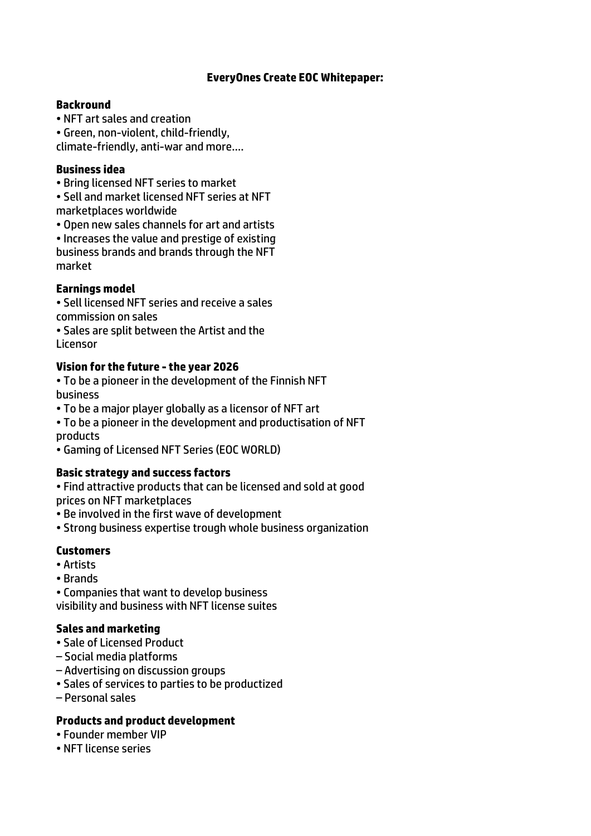## **EveryOnes Create EOC Whitepaper:**

#### **Backround**

• NFT art sales and creation

• Green, non-violent, child-friendly, climate-friendly, anti-war and more….

#### **Business idea**

• Bring licensed NFT series to market

• Sell and market licensed NFT series at NFT marketplaces worldwide

• Open new sales channels for art and artists

• Increases the value and prestige of existing business brands and brands through the NFT market

## **Earnings model**

• Sell licensed NFT series and receive a sales commission on sales

• Sales are split between the Artist and the **Licensor** 

## **Vision for the future -the year 2026**

• To be a pioneer in the development of the Finnish NFT business

• To be a major player globally as a licensor of NFT art

• To be a pioneer in the development and productisation of NFT products

• Gaming of Licensed NFT Series (EOC WORLD)

## **Basic strategy and success factors**

• Find attractive products that can be licensed and sold at good prices on NFT marketplaces

• Be involved in the first wave of development

• Strong business expertise trough whole business organization

## **Customers**

- Artists
- Brands

• Companies that want to develop business visibility and business with NFT license suites

## **Sales and marketing**

- Sale of Licensed Product
- Social media platforms
- Advertising on discussion groups
- Sales of services to parties to be productized
- Personal sales

## **Products and product development**

- Founder member VIP
- NFT license series